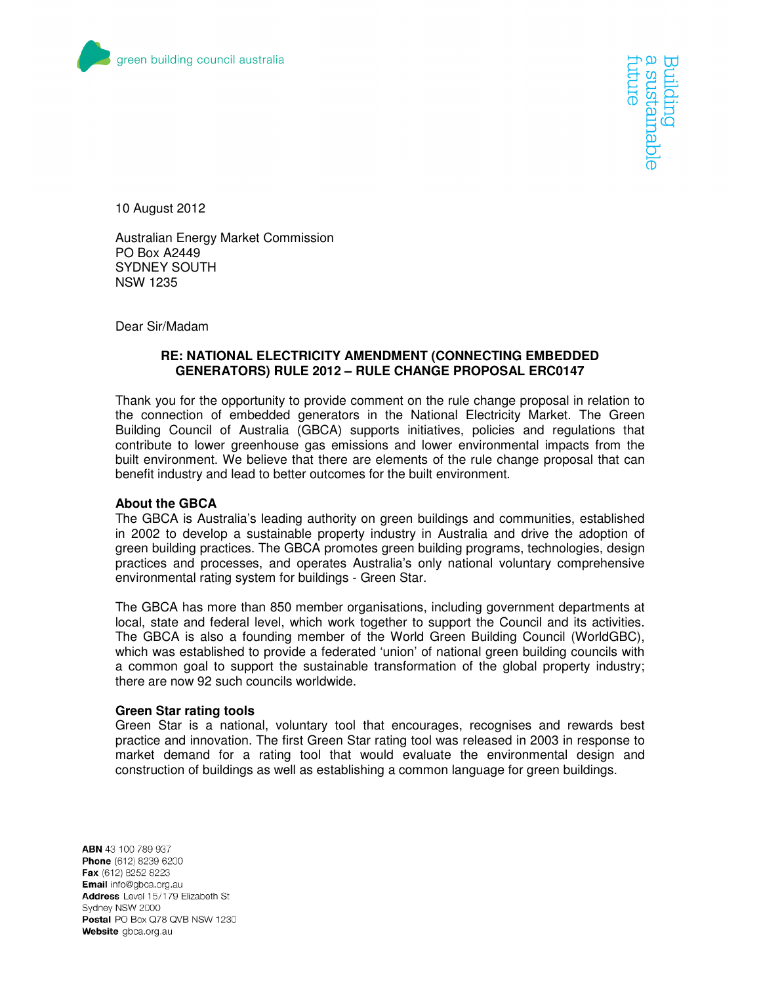

trure **Internable** 

10 August 2012

Australian Energy Market Commission PO Box A2449 SYDNEY SOUTH NSW 1235

Dear Sir/Madam

## **RE: NATIONAL ELECTRICITY AMENDMENT (CONNECTING EMBEDDED GENERATORS) RULE 2012 – RULE CHANGE PROPOSAL ERC0147**

Thank you for the opportunity to provide comment on the rule change proposal in relation to the connection of embedded generators in the National Electricity Market. The Green Building Council of Australia (GBCA) supports initiatives, policies and regulations that contribute to lower greenhouse gas emissions and lower environmental impacts from the built environment. We believe that there are elements of the rule change proposal that can benefit industry and lead to better outcomes for the built environment.

## **About the GBCA**

The GBCA is Australia's leading authority on green buildings and communities, established in 2002 to develop a sustainable property industry in Australia and drive the adoption of green building practices. The GBCA promotes green building programs, technologies, design practices and processes, and operates Australia's only national voluntary comprehensive environmental rating system for buildings - Green Star.

The GBCA has more than 850 member organisations, including government departments at local, state and federal level, which work together to support the Council and its activities. The GBCA is also a founding member of the World Green Building Council (WorldGBC), which was established to provide a federated 'union' of national green building councils with a common goal to support the sustainable transformation of the global property industry; there are now 92 such councils worldwide.

## **Green Star rating tools**

Green Star is a national, voluntary tool that encourages, recognises and rewards best practice and innovation. The first Green Star rating tool was released in 2003 in response to market demand for a rating tool that would evaluate the environmental design and construction of buildings as well as establishing a common language for green buildings.

ABN 43 100 789 937 Phone (612) 8239 6200 Fax (612) 8252 8223 Email info@gbca.org.au Address Level 15/179 Elizabeth St Sydney NSW 2000 Postal PO Box Q78 QVB NSW 1230 Website gbca.org.au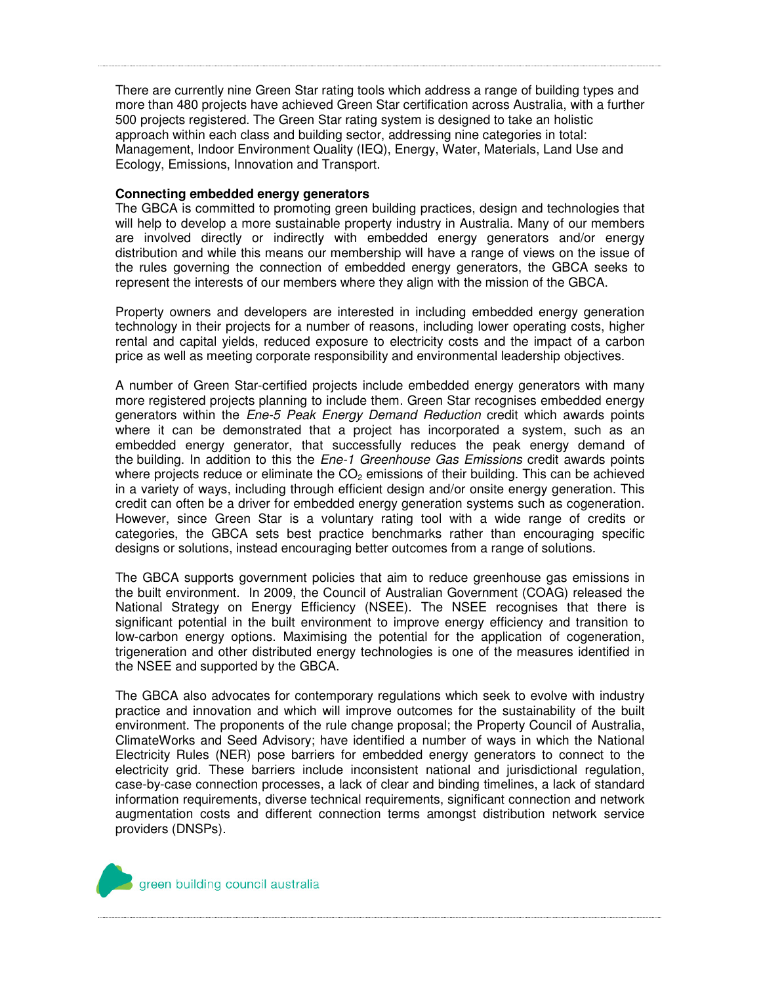There are currently nine Green Star rating tools which address a range of building types and more than 480 projects have achieved Green Star certification across Australia, with a further 500 projects registered. The Green Star rating system is designed to take an holistic approach within each class and building sector, addressing nine categories in total: Management, Indoor Environment Quality (IEQ), Energy, Water, Materials, Land Use and Ecology, Emissions, Innovation and Transport.

## **Connecting embedded energy generators**

The GBCA is committed to promoting green building practices, design and technologies that will help to develop a more sustainable property industry in Australia. Many of our members are involved directly or indirectly with embedded energy generators and/or energy distribution and while this means our membership will have a range of views on the issue of the rules governing the connection of embedded energy generators, the GBCA seeks to represent the interests of our members where they align with the mission of the GBCA.

Property owners and developers are interested in including embedded energy generation technology in their projects for a number of reasons, including lower operating costs, higher rental and capital yields, reduced exposure to electricity costs and the impact of a carbon price as well as meeting corporate responsibility and environmental leadership objectives.

A number of Green Star-certified projects include embedded energy generators with many more registered projects planning to include them. Green Star recognises embedded energy generators within the Ene-5 Peak Energy Demand Reduction credit which awards points where it can be demonstrated that a project has incorporated a system, such as an embedded energy generator, that successfully reduces the peak energy demand of the building. In addition to this the *Ene-1 Greenhouse Gas Emissions* credit awards points where projects reduce or eliminate the  $CO<sub>2</sub>$  emissions of their building. This can be achieved in a variety of ways, including through efficient design and/or onsite energy generation. This credit can often be a driver for embedded energy generation systems such as cogeneration. However, since Green Star is a voluntary rating tool with a wide range of credits or categories, the GBCA sets best practice benchmarks rather than encouraging specific designs or solutions, instead encouraging better outcomes from a range of solutions.

The GBCA supports government policies that aim to reduce greenhouse gas emissions in the built environment. In 2009, the Council of Australian Government (COAG) released the National Strategy on Energy Efficiency (NSEE). The NSEE recognises that there is significant potential in the built environment to improve energy efficiency and transition to low-carbon energy options. Maximising the potential for the application of cogeneration, trigeneration and other distributed energy technologies is one of the measures identified in the NSEE and supported by the GBCA.

The GBCA also advocates for contemporary regulations which seek to evolve with industry practice and innovation and which will improve outcomes for the sustainability of the built environment. The proponents of the rule change proposal; the Property Council of Australia, ClimateWorks and Seed Advisory; have identified a number of ways in which the National Electricity Rules (NER) pose barriers for embedded energy generators to connect to the electricity grid. These barriers include inconsistent national and jurisdictional regulation, case-by-case connection processes, a lack of clear and binding timelines, a lack of standard information requirements, diverse technical requirements, significant connection and network augmentation costs and different connection terms amongst distribution network service providers (DNSPs).